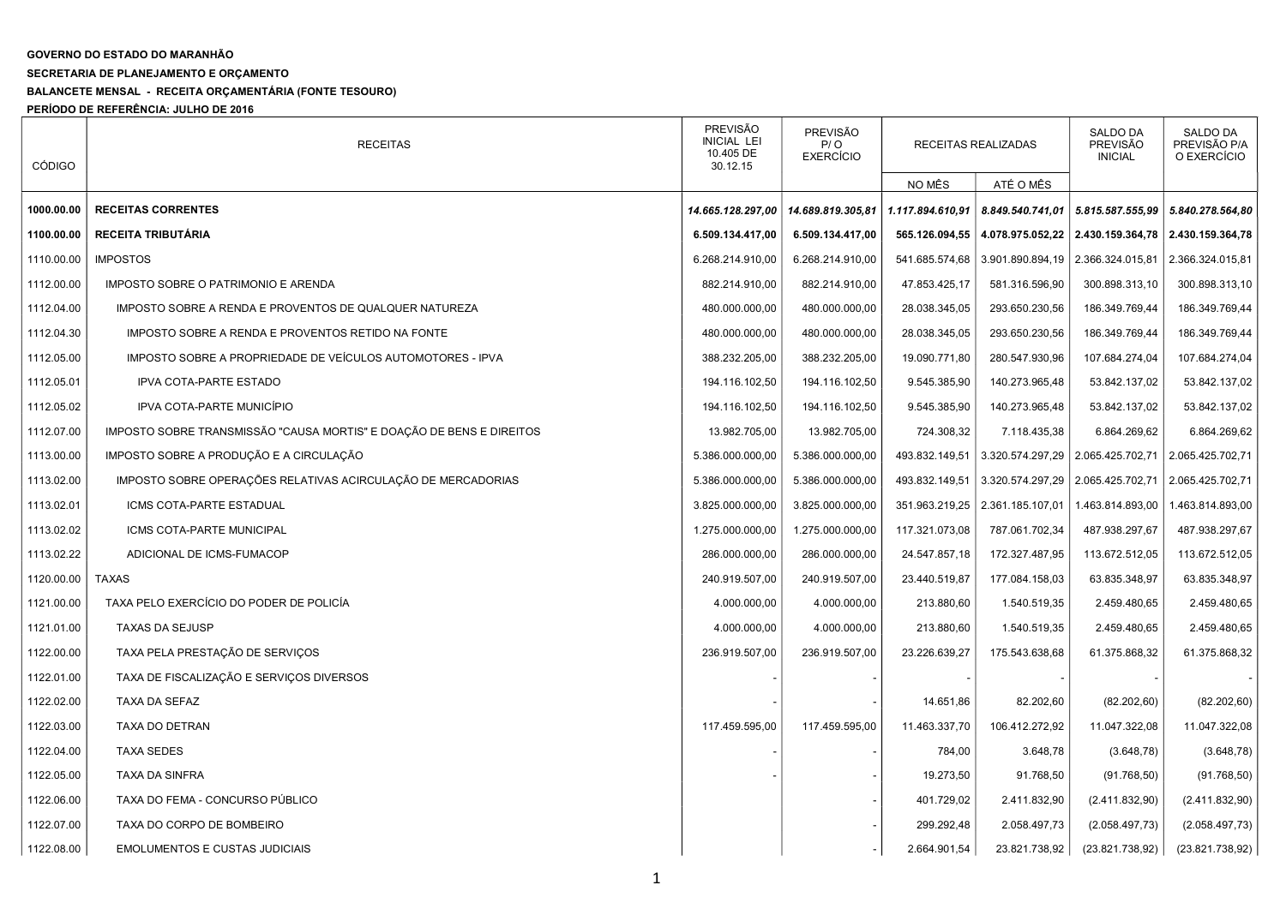## GOVERNO DO ESTADO DO MARANHÃO

## SECRETARIA DE PLANEJAMENTO E ORÇAMENTO

## BALANCETE MENSAL - RECEITA ORÇAMENTÁRIA (FONTE TESOURO)

PERÍODO DE REFERÊNCIA: JULHO DE 2016

| <b>CÓDIGO</b> | <b>RECEITAS</b>                                                      | <b>PREVISÃO</b><br>PREVISÃO<br><b>INICIAL LEI</b><br>P/ O<br>RECEITAS REALIZADAS<br>10.405 DE<br><b>EXERCÍCIO</b><br>30.12.15 |                   |                  | <b>SALDO DA</b><br><b>PREVISÃO</b><br><b>INICIAL</b> | SALDO DA<br>PREVISÃO P/A<br>O EXERCÍCIO |                                     |
|---------------|----------------------------------------------------------------------|-------------------------------------------------------------------------------------------------------------------------------|-------------------|------------------|------------------------------------------------------|-----------------------------------------|-------------------------------------|
|               |                                                                      |                                                                                                                               |                   | NO MÊS           | ATÉ O MÊS                                            |                                         |                                     |
| 1000.00.00    | <b>RECEITAS CORRENTES</b>                                            | 14.665.128.297,00                                                                                                             | 14.689.819.305,81 | 1.117.894.610,91 | 8.849.540.741,01                                     |                                         | 5.815.587.555,99   5.840.278.564,80 |
| 1100.00.00    | RECEITA TRIBUTÁRIA                                                   | 6.509.134.417,00                                                                                                              | 6.509.134.417,00  | 565.126.094,55   | 4.078.975.052,22                                     |                                         | 2.430.159.364,78 2.430.159.364,78   |
| 1110.00.00    | <b>IMPOSTOS</b>                                                      | 6.268.214.910,00                                                                                                              | 6.268.214.910,00  | 541.685.574,68   | 3.901.890.894,19                                     | 2.366.324.015,81                        | 2.366.324.015,81                    |
| 1112.00.00    | IMPOSTO SOBRE O PATRIMONIO E ARENDA                                  | 882.214.910,00                                                                                                                | 882.214.910,00    | 47.853.425,17    | 581.316.596,90                                       | 300.898.313,10                          | 300.898.313,10                      |
| 1112.04.00    | IMPOSTO SOBRE A RENDA E PROVENTOS DE QUALQUER NATUREZA               | 480.000.000,00                                                                                                                | 480.000.000,00    | 28.038.345,05    | 293.650.230,56                                       | 186.349.769,44                          | 186.349.769,44                      |
| 1112.04.30    | IMPOSTO SOBRE A RENDA E PROVENTOS RETIDO NA FONTE                    | 480.000.000,00                                                                                                                | 480.000.000,00    | 28.038.345,05    | 293.650.230,56                                       | 186.349.769,44                          | 186.349.769,44                      |
| 1112.05.00    | IMPOSTO SOBRE A PROPRIEDADE DE VEICULOS AUTOMOTORES - IPVA           | 388.232.205,00                                                                                                                | 388.232.205,00    | 19.090.771,80    | 280.547.930,96                                       | 107.684.274,04                          | 107.684.274,04                      |
| 1112.05.01    | <b>IPVA COTA-PARTE ESTADO</b>                                        | 194.116.102,50                                                                                                                | 194.116.102,50    | 9.545.385,90     | 140.273.965,48                                       | 53.842.137,02                           | 53.842.137,02                       |
| 1112.05.02    | IPVA COTA-PARTE MUNICÍPIO                                            | 194.116.102,50                                                                                                                | 194.116.102,50    | 9.545.385,90     | 140.273.965,48                                       | 53.842.137,02                           | 53.842.137,02                       |
| 1112.07.00    | IMPOSTO SOBRE TRANSMISSÃO "CAUSA MORTIS" E DOAÇÃO DE BENS E DIREITOS | 13.982.705,00                                                                                                                 | 13.982.705,00     | 724.308,32       | 7.118.435,38                                         | 6.864.269,62                            | 6.864.269,62                        |
| 1113.00.00    | IMPOSTO SOBRE A PRODUÇÃO E A CIRCULAÇÃO                              | 5.386.000.000,00                                                                                                              | 5.386.000.000,00  | 493.832.149,51   | 3.320.574.297,29                                     | 2.065.425.702,71                        | 2.065.425.702,71                    |
| 1113.02.00    | IMPOSTO SOBRE OPERAÇÕES RELATIVAS ACIRCULAÇÃO DE MERCADORIAS         | 5.386.000.000,00                                                                                                              | 5.386.000.000,00  | 493.832.149,51   | 3.320.574.297,29                                     | 2.065.425.702,71                        | 2.065.425.702,71                    |
| 1113.02.01    | ICMS COTA-PARTE ESTADUAL                                             | 3.825.000.000,00                                                                                                              | 3.825.000.000,00  |                  | 351.963.219,25   2.361.185.107,01                    | 1.463.814.893,00                        | 1.463.814.893,00                    |
| 1113.02.02    | ICMS COTA-PARTE MUNICIPAL                                            | 1.275.000.000,00                                                                                                              | 1.275.000.000,00  | 117.321.073,08   | 787.061.702,34                                       | 487.938.297,67                          | 487.938.297,67                      |
| 1113.02.22    | ADICIONAL DE ICMS-FUMACOP                                            | 286.000.000,00                                                                                                                | 286.000.000,00    | 24.547.857,18    | 172.327.487,95                                       | 113.672.512,05                          | 113.672.512,05                      |
| 1120.00.00    | <b>TAXAS</b>                                                         | 240.919.507,00                                                                                                                | 240.919.507,00    | 23.440.519,87    | 177.084.158,03                                       | 63.835.348,97                           | 63.835.348,97                       |
| 1121.00.00    | TAXA PELO EXERCÍCIO DO PODER DE POLICÍA                              | 4.000.000,00                                                                                                                  | 4.000.000,00      | 213.880,60       | 1.540.519,35                                         | 2.459.480,65                            | 2.459.480,65                        |
| 1121.01.00    | <b>TAXAS DA SEJUSP</b>                                               | 4.000.000,00                                                                                                                  | 4.000.000,00      | 213.880,60       | 1.540.519,35                                         | 2.459.480,65                            | 2.459.480,65                        |
| 1122.00.00    | TAXA PELA PRESTAÇÃO DE SERVIÇOS                                      | 236.919.507,00                                                                                                                | 236.919.507,00    | 23.226.639,27    | 175.543.638,68                                       | 61.375.868,32                           | 61.375.868,32                       |
| 1122.01.00    | TAXA DE FISCALIZAÇÃO E SERVIÇOS DIVERSOS                             |                                                                                                                               |                   |                  |                                                      |                                         |                                     |
| 1122.02.00    | TAXA DA SEFAZ                                                        |                                                                                                                               |                   | 14.651,86        | 82.202,60                                            | (82.202, 60)                            | (82.202, 60)                        |
| 1122.03.00    | TAXA DO DETRAN                                                       | 117.459.595,00                                                                                                                | 117.459.595,00    | 11.463.337,70    | 106.412.272,92                                       | 11.047.322,08                           | 11.047.322,08                       |
| 1122.04.00    | <b>TAXA SEDES</b>                                                    |                                                                                                                               |                   | 784,00           | 3.648,78                                             | (3.648, 78)                             | (3.648, 78)                         |
| 1122.05.00    | <b>TAXA DA SINFRA</b>                                                |                                                                                                                               |                   | 19.273,50        | 91.768,50                                            | (91.768, 50)                            | (91.768, 50)                        |
| 1122.06.00    | TAXA DO FEMA - CONCURSO PÚBLICO                                      |                                                                                                                               |                   | 401.729,02       | 2.411.832,90                                         | (2.411.832,90)                          | (2.411.832,90)                      |
| 1122.07.00    | TAXA DO CORPO DE BOMBEIRO                                            |                                                                                                                               |                   | 299.292,48       | 2.058.497,73                                         | (2.058.497,73)                          | (2.058.497,73)                      |
| 1122.08.00    | <b>EMOLUMENTOS E CUSTAS JUDICIAIS</b>                                |                                                                                                                               |                   | 2.664.901,54     | 23.821.738,92                                        | (23.821.738.92)                         | (23.821.738.92)                     |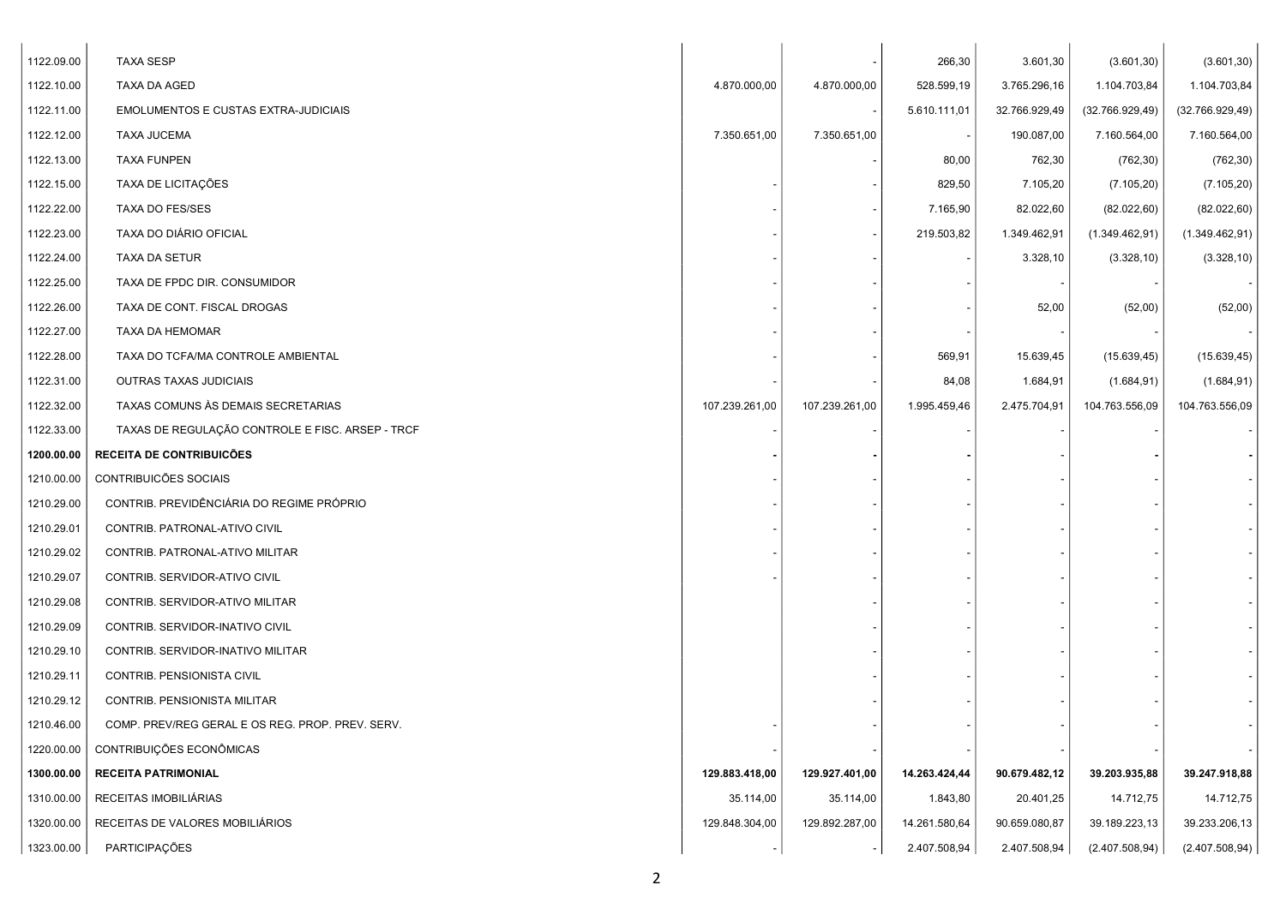| 1122.09.00 | <b>TAXA SESP</b>                                 |                |                | 266,30        | 3.601,30      | (3.601, 30)     | (3.601, 30)     |  |
|------------|--------------------------------------------------|----------------|----------------|---------------|---------------|-----------------|-----------------|--|
| 1122.10.00 | TAXA DA AGED                                     | 4.870.000,00   | 4.870.000,00   | 528.599,19    | 3.765.296,16  | 1.104.703,84    | 1.104.703,84    |  |
| 1122.11.00 | <b>EMOLUMENTOS E CUSTAS EXTRA-JUDICIAIS</b>      |                |                | 5.610.111,01  | 32.766.929,49 | (32.766.929,49) | (32.766.929,49) |  |
| 1122.12.00 | <b>TAXA JUCEMA</b>                               | 7.350.651,00   | 7.350.651,00   |               | 190.087,00    | 7.160.564,00    | 7.160.564,00    |  |
| 1122.13.00 | TAXA FUNPEN                                      |                |                | 80,00         | 762,30        | (762, 30)       | (762, 30)       |  |
| 1122.15.00 | TAXA DE LICITAÇÕES                               |                |                | 829,50        | 7.105,20      | (7.105, 20)     | (7.105, 20)     |  |
| 1122.22.00 | <b>TAXA DO FES/SES</b>                           |                |                | 7.165,90      | 82.022,60     | (82.022, 60)    | (82.022, 60)    |  |
| 1122.23.00 | TAXA DO DIÁRIO OFICIAL                           |                |                | 219.503,82    | 1.349.462,91  | (1.349.462, 91) | (1.349.462,91)  |  |
| 1122.24.00 | TAXA DA SETUR                                    |                |                |               | 3.328,10      | (3.328, 10)     | (3.328, 10)     |  |
| 1122.25.00 | TAXA DE FPDC DIR. CONSUMIDOR                     |                |                |               |               |                 |                 |  |
| 1122.26.00 | TAXA DE CONT. FISCAL DROGAS                      |                |                |               | 52,00         | (52,00)         | (52,00)         |  |
| 1122.27.00 | TAXA DA HEMOMAR                                  |                |                |               |               |                 |                 |  |
| 1122.28.00 | TAXA DO TCFA/MA CONTROLE AMBIENTAL               |                |                | 569,91        | 15.639,45     | (15.639, 45)    | (15.639, 45)    |  |
| 1122.31.00 | OUTRAS TAXAS JUDICIAIS                           |                |                | 84,08         | 1.684,91      | (1.684, 91)     | (1.684, 91)     |  |
| 1122.32.00 | TAXAS COMUNS ÀS DEMAIS SECRETARIAS               | 107.239.261,00 | 107.239.261,00 | 1.995.459,46  | 2.475.704,91  | 104.763.556,09  | 104.763.556,09  |  |
| 1122.33.00 | TAXAS DE REGULAÇÃO CONTROLE E FISC. ARSEP - TRCF |                |                |               |               |                 |                 |  |
| 1200.00.00 | <b>RECEITA DE CONTRIBUICÕES</b>                  |                |                |               |               |                 |                 |  |
| 1210.00.00 | CONTRIBUICÕES SOCIAIS                            |                |                |               |               |                 |                 |  |
| 1210.29.00 | CONTRIB. PREVIDÊNCIÁRIA DO REGIME PRÓPRIO        |                |                |               |               |                 |                 |  |
| 1210.29.01 | CONTRIB. PATRONAL-ATIVO CIVIL                    |                |                |               |               |                 |                 |  |
| 1210.29.02 | CONTRIB. PATRONAL-ATIVO MILITAR                  |                |                |               |               |                 |                 |  |
| 1210.29.07 | CONTRIB. SERVIDOR-ATIVO CIVIL                    |                |                |               |               |                 |                 |  |
| 1210.29.08 | CONTRIB. SERVIDOR-ATIVO MILITAR                  |                |                |               |               |                 |                 |  |
| 1210.29.09 | CONTRIB. SERVIDOR-INATIVO CIVIL                  |                |                |               |               |                 |                 |  |
| 1210.29.10 | CONTRIB. SERVIDOR-INATIVO MILITAR                |                |                |               |               |                 |                 |  |
| 1210.29.11 | CONTRIB. PENSIONISTA CIVIL                       |                |                |               |               |                 |                 |  |
| 1210.29.12 | CONTRIB. PENSIONISTA MILITAR                     |                |                |               |               |                 |                 |  |
| 1210.46.00 | COMP. PREV/REG GERAL E OS REG. PROP. PREV. SERV. |                |                |               |               |                 |                 |  |
| 1220.00.00 | CONTRIBUIÇÕES ECONÔMICAS                         |                |                |               |               |                 |                 |  |
| 1300.00.00 | <b>RECEITA PATRIMONIAL</b>                       | 129.883.418,00 | 129.927.401,00 | 14.263.424,44 | 90.679.482,12 | 39.203.935,88   | 39.247.918,88   |  |
| 1310.00.00 | RECEITAS IMOBILIÁRIAS                            | 35.114,00      | 35.114,00      | 1.843,80      | 20.401,25     | 14.712,75       | 14.712,75       |  |
| 1320.00.00 | RECEITAS DE VALORES MOBILIÁRIOS                  | 129.848.304,00 | 129.892.287,00 | 14.261.580,64 | 90.659.080,87 | 39.189.223,13   | 39.233.206,13   |  |
| 1323.00.00 | PARTICIPAÇÕES                                    |                |                | 2.407.508,94  | 2.407.508,94  | (2.407.508,94)  | (2.407.508,94)  |  |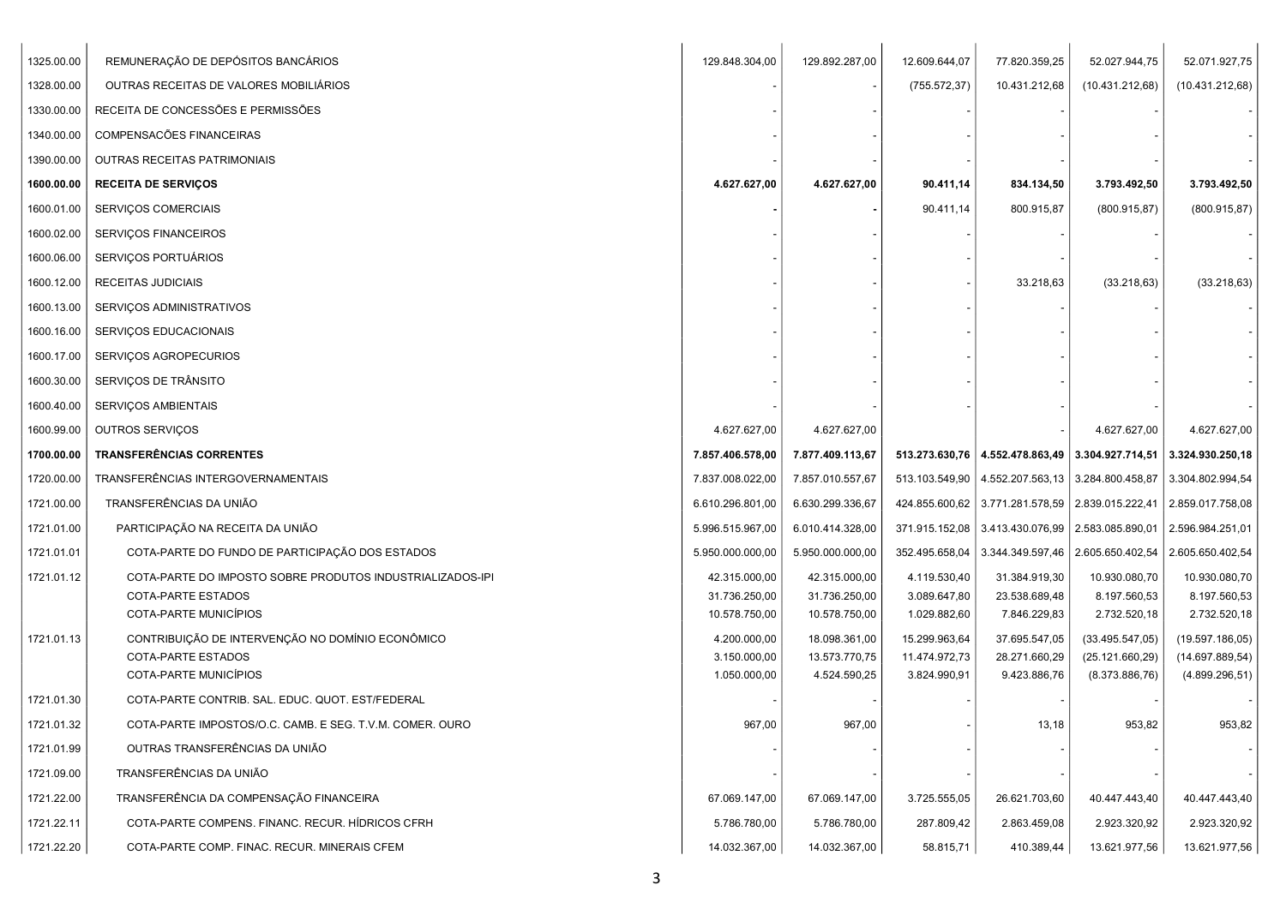| 1325.00.00 | REMUNERAÇÃO DE DEPÓSITOS BANCÁRIOS                        | 129.848.304,00   | 129.892.287,00   | 12.609.644,07  | 77.820.359,25 | 52.027.944,75                                                           | 52.071.927,75    |
|------------|-----------------------------------------------------------|------------------|------------------|----------------|---------------|-------------------------------------------------------------------------|------------------|
| 1328.00.00 | OUTRAS RECEITAS DE VALORES MOBILIARIOS                    |                  |                  | (755.572, 37)  | 10.431.212,68 | (10.431.212,68)                                                         | (10.431.212,68)  |
| 1330.00.00 | RECEITA DE CONCESSÕES E PERMISSÕES                        |                  |                  |                |               |                                                                         |                  |
| 1340.00.00 | COMPENSACÕES FINANCEIRAS                                  |                  |                  |                |               |                                                                         |                  |
| 1390.00.00 | OUTRAS RECEITAS PATRIMONIAIS                              |                  |                  |                |               |                                                                         |                  |
| 1600.00.00 | <b>RECEITA DE SERVIÇOS</b>                                | 4.627.627,00     | 4.627.627,00     | 90.411,14      | 834.134,50    | 3.793.492,50                                                            | 3.793.492,50     |
| 1600.01.00 | <b>SERVIÇOS COMERCIAIS</b>                                |                  |                  | 90.411,14      | 800.915,87    | (800.915, 87)                                                           | (800.915, 87)    |
| 1600.02.00 | <b>SERVIÇOS FINANCEIROS</b>                               |                  |                  |                |               |                                                                         |                  |
| 1600.06.00 | SERVIÇOS PORTUÁRIOS                                       |                  |                  |                |               |                                                                         |                  |
| 1600.12.00 | RECEITAS JUDICIAIS                                        |                  |                  |                | 33.218,63     | (33.218, 63)                                                            | (33.218, 63)     |
| 1600.13.00 | SERVIÇOS ADMINISTRATIVOS                                  |                  |                  |                |               |                                                                         |                  |
| 1600.16.00 | SERVIÇOS EDUCACIONAIS                                     |                  |                  |                |               |                                                                         |                  |
| 1600.17.00 | SERVIÇOS AGROPECURIOS                                     |                  |                  |                |               |                                                                         |                  |
| 1600.30.00 | SERVIÇOS DE TRÂNSITO                                      |                  |                  |                |               |                                                                         |                  |
| 1600.40.00 | SERVIÇOS AMBIENTAIS                                       |                  |                  |                |               |                                                                         |                  |
| 1600.99.00 | OUTROS SERVIÇOS                                           | 4.627.627,00     | 4.627.627,00     |                |               | 4.627.627,00                                                            | 4.627.627,00     |
| 1700.00.00 | <b>TRANSFERÊNCIAS CORRENTES</b>                           | 7.857.406.578,00 | 7.877.409.113,67 |                |               | 513.273.630,76   4.552.478.863,49   3.304.927.714,51   3.324.930.250,18 |                  |
| 1720.00.00 | TRANSFERÊNCIAS INTERGOVERNAMENTAIS                        | 7.837.008.022,00 | 7.857.010.557,67 |                |               | 513.103.549,90   4.552.207.563,13   3.284.800.458,87                    | 3.304.802.994,54 |
| 1721.00.00 | TRANSFERÊNCIAS DA UNIÃO                                   | 6.610.296.801,00 | 6.630.299.336,67 |                |               | 424.855.600,62   3.771.281.578,59   2.839.015.222,41   2.859.017.758,08 |                  |
| 1721.01.00 | PARTICIPAÇÃO NA RECEITA DA UNIÃO                          | 5.996.515.967,00 | 6.010.414.328,00 |                |               | 371.915.152,08   3.413.430.076,99   2.583.085.890,01   2.596.984.251,01 |                  |
| 1721.01.01 | COTA-PARTE DO FUNDO DE PARTICIPAÇÃO DOS ESTADOS           | 5.950.000.000,00 | 5.950.000.000,00 | 352.495.658,04 |               | 3.344.349.597,46   2.605.650.402,54                                     | 2.605.650.402,54 |
| 1721.01.12 | COTA-PARTE DO IMPOSTO SOBRE PRODUTOS INDUSTRIALIZADOS-IPI | 42.315.000,00    | 42.315.000,00    | 4.119.530,40   | 31.384.919,30 | 10.930.080,70                                                           | 10.930.080,70    |
|            | COTA-PARTE ESTADOS                                        | 31.736.250,00    | 31.736.250,00    | 3.089.647,80   | 23.538.689,48 | 8.197.560,53                                                            | 8.197.560,53     |
|            | COTA-PARTE MUNICIPIOS                                     | 10.578.750,00    | 10.578.750,00    | 1.029.882,60   | 7.846.229,83  | 2.732.520,18                                                            | 2.732.520,18     |
| 1721.01.13 | CONTRIBUIÇÃO DE INTERVENÇÃO NO DOMÍNIO ECONÔMICO          | 4.200.000,00     | 18.098.361,00    | 15.299.963,64  | 37.695.547,05 | (33.495.547,05)                                                         | (19.597.186,05)  |
|            | COTA-PARTE ESTADOS<br>COTA-PARTE MUNICÍPIOS               | 3.150.000,00     | 13.573.770,75    | 11.474.972,73  | 28.271.660,29 | (25.121.660, 29)                                                        | (14.697.889, 54) |
|            |                                                           | 1.050.000,00     | 4.524.590,25     | 3.824.990,91   | 9.423.886,76  | (8.373.886, 76)                                                         | (4.899.296, 51)  |
| 1721.01.30 | COTA-PARTE CONTRIB. SAL. EDUC. QUOT. EST/FEDERAL          |                  |                  |                |               |                                                                         |                  |
| 1721.01.32 | COTA-PARTE IMPOSTOS/O.C. CAMB. E SEG. T.V.M. COMER. OURO  | 967,00           | 967,00           |                | 13,18         | 953,82                                                                  | 953,82           |
| 1721.01.99 | OUTRAS TRANSFERÊNCIAS DA UNIÃO                            |                  |                  |                |               |                                                                         |                  |
| 1721.09.00 | TRANSFERÊNCIAS DA UNIÃO                                   |                  |                  |                |               |                                                                         |                  |
| 1721.22.00 | TRANSFERÊNCIA DA COMPENSAÇÃO FINANCEIRA                   | 67.069.147,00    | 67.069.147,00    | 3.725.555,05   | 26.621.703,60 | 40.447.443,40                                                           | 40.447.443,40    |
| 1721.22.11 | COTA-PARTE COMPENS. FINANC. RECUR. HÍDRICOS CFRH          | 5.786.780,00     | 5.786.780,00     | 287.809,42     | 2.863.459,08  | 2.923.320,92                                                            | 2.923.320,92     |
| 1721.22.20 | COTA-PARTE COMP. FINAC. RECUR. MINERAIS CFEM              | 14.032.367,00    | 14.032.367,00    | 58.815,71      | 410.389,44    | 13.621.977,56                                                           | 13.621.977,56    |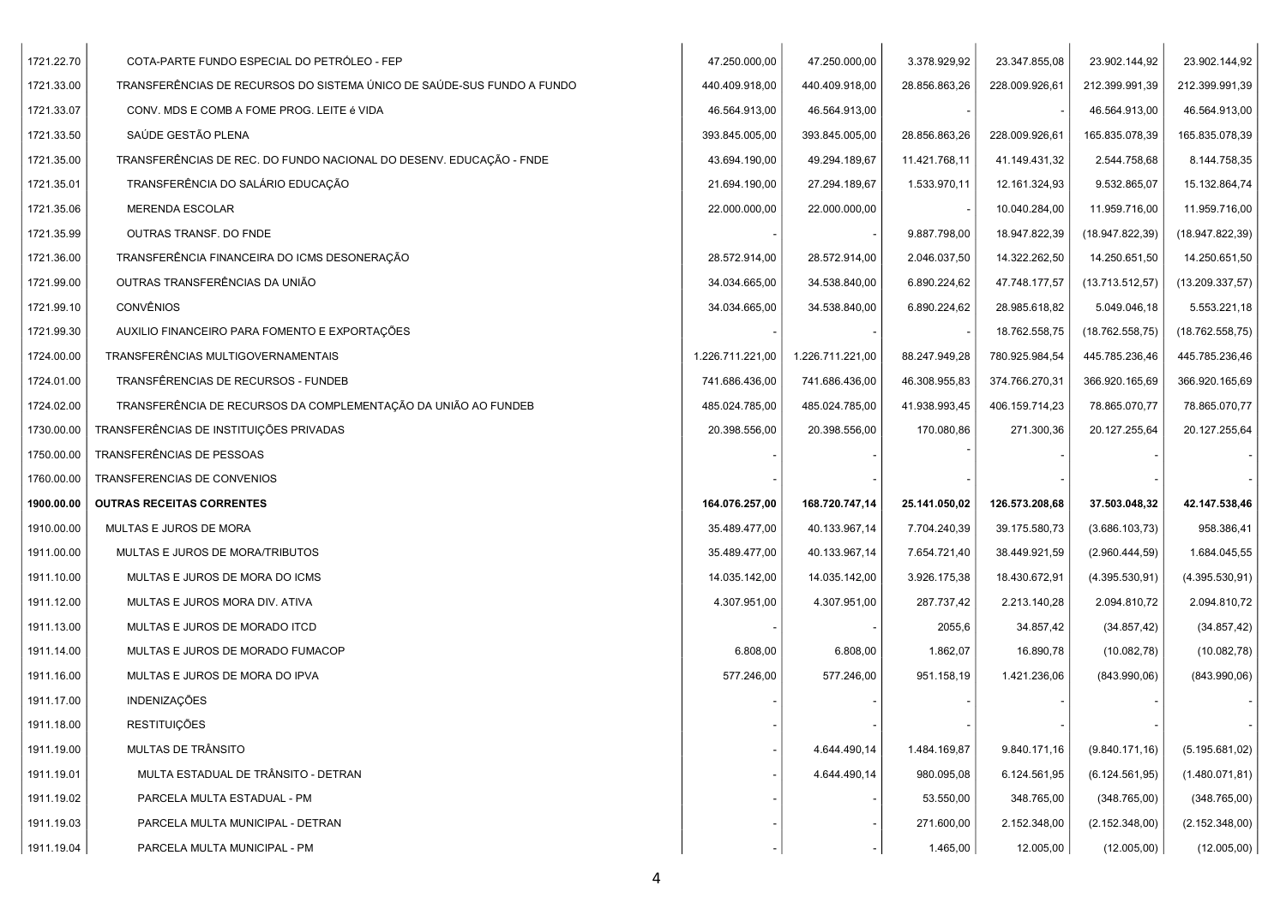| 1721.22.70 | COTA-PARTE FUNDO ESPECIAL DO PETRÓLEO - FEP                            | 47.250.000,00    | 47.250.000,00    | 3.378.929,92  | 23.347.855,08  | 23.902.144,92    | 23.902.144,92    |
|------------|------------------------------------------------------------------------|------------------|------------------|---------------|----------------|------------------|------------------|
| 1721.33.00 | TRANSFERÊNCIAS DE RECURSOS DO SISTEMA ÚNICO DE SAÚDE-SUS FUNDO A FUNDO | 440.409.918,00   | 440.409.918,00   | 28.856.863,26 | 228.009.926,61 | 212.399.991,39   | 212.399.991,39   |
| 1721.33.07 | CONV. MDS E COMB A FOME PROG. LEITE é VIDA                             | 46.564.913,00    | 46.564.913,00    |               |                | 46.564.913,00    | 46.564.913,00    |
| 1721.33.50 | SAÚDE GESTÃO PLENA                                                     | 393.845.005,00   | 393.845.005,00   | 28.856.863,26 | 228.009.926,61 | 165.835.078,39   | 165.835.078,39   |
| 1721.35.00 | TRANSFERÊNCIAS DE REC. DO FUNDO NACIONAL DO DESENV. EDUCAÇÃO - FNDE    | 43.694.190,00    | 49.294.189,67    | 11.421.768,11 | 41.149.431,32  | 2.544.758,68     | 8.144.758,35     |
| 1721.35.01 | TRANSFERÊNCIA DO SALÁRIO EDUCAÇÃO                                      | 21.694.190,00    | 27.294.189,67    | 1.533.970,11  | 12.161.324,93  | 9.532.865,07     | 15.132.864,74    |
| 1721.35.06 | <b>MERENDA ESCOLAR</b>                                                 | 22.000.000,00    | 22.000.000,00    |               | 10.040.284,00  | 11.959.716,00    | 11.959.716,00    |
| 1721.35.99 | OUTRAS TRANSF. DO FNDE                                                 |                  |                  | 9.887.798,00  | 18.947.822,39  | (18.947.822, 39) | (18.947.822, 39) |
| 1721.36.00 | TRANSFERÊNCIA FINANCEIRA DO ICMS DESONERAÇÃO                           | 28.572.914,00    | 28.572.914,00    | 2.046.037,50  | 14.322.262,50  | 14.250.651,50    | 14.250.651,50    |
| 1721.99.00 | OUTRAS TRANSFERÊNCIAS DA UNIÃO                                         | 34.034.665,00    | 34.538.840,00    | 6.890.224,62  | 47.748.177,57  | (13.713.512,57)  | (13.209.337,57)  |
| 1721.99.10 | <b>CONVÊNIOS</b>                                                       | 34.034.665,00    | 34.538.840,00    | 6.890.224,62  | 28.985.618,82  | 5.049.046,18     | 5.553.221,18     |
| 1721.99.30 | AUXILIO FINANCEIRO PARA FOMENTO E EXPORTAÇÕES                          |                  |                  |               | 18.762.558,75  | (18.762.558,75)  | (18.762.558,75)  |
| 1724.00.00 | TRANSFERÊNCIAS MULTIGOVERNAMENTAIS                                     | 1.226.711.221,00 | 1.226.711.221,00 | 88.247.949,28 | 780.925.984,54 | 445.785.236,46   | 445.785.236,46   |
| 1724.01.00 | TRANSFÊRENCIAS DE RECURSOS - FUNDEB                                    | 741.686.436,00   | 741.686.436,00   | 46.308.955,83 | 374.766.270,31 | 366.920.165,69   | 366.920.165,69   |
| 1724.02.00 | TRANSFERÊNCIA DE RECURSOS DA COMPLEMENTAÇÃO DA UNIÃO AO FUNDEB         | 485.024.785,00   | 485.024.785,00   | 41.938.993,45 | 406.159.714,23 | 78.865.070,77    | 78.865.070,77    |
| 1730.00.00 | TRANSFERÊNCIAS DE INSTITUIÇÕES PRIVADAS                                | 20.398.556,00    | 20.398.556,00    | 170.080,86    | 271.300,36     | 20.127.255,64    | 20.127.255,64    |
| 1750.00.00 | TRANSFERÊNCIAS DE PESSOAS                                              |                  |                  |               |                |                  |                  |
| 1760.00.00 | TRANSFERENCIAS DE CONVENIOS                                            |                  |                  |               |                |                  |                  |
| 1900.00.00 | <b>OUTRAS RECEITAS CORRENTES</b>                                       | 164.076.257,00   | 168.720.747,14   | 25.141.050,02 | 126.573.208,68 | 37.503.048,32    | 42.147.538,46    |
| 1910.00.00 | MULTAS E JUROS DE MORA                                                 | 35.489.477,00    | 40.133.967,14    | 7.704.240,39  | 39.175.580,73  | (3.686.103,73)   | 958.386,41       |
| 1911.00.00 | MULTAS E JUROS DE MORA/TRIBUTOS                                        | 35.489.477,00    | 40.133.967,14    | 7.654.721,40  | 38.449.921,59  | (2.960.444, 59)  | 1.684.045,55     |
| 1911.10.00 | MULTAS E JUROS DE MORA DO ICMS                                         | 14.035.142,00    | 14.035.142,00    | 3.926.175,38  | 18.430.672,91  | (4.395.530, 91)  | (4.395.530, 91)  |
| 1911.12.00 | MULTAS E JUROS MORA DIV. ATIVA                                         | 4.307.951,00     | 4.307.951,00     | 287.737,42    | 2.213.140,28   | 2.094.810,72     | 2.094.810,72     |
| 1911.13.00 | MULTAS E JUROS DE MORADO ITCD                                          |                  |                  | 2055,6        | 34.857,42      | (34.857, 42)     | (34.857, 42)     |
| 1911.14.00 | MULTAS E JUROS DE MORADO FUMACOP                                       | 6.808,00         | 6.808,00         | 1.862,07      | 16.890,78      | (10.082,78)      | (10.082,78)      |
| 1911.16.00 | MULTAS E JUROS DE MORA DO IPVA                                         | 577.246,00       | 577.246,00       | 951.158,19    | 1.421.236,06   | (843.990,06)     | (843.990,06)     |
| 1911.17.00 | <b>INDENIZAÇÕES</b>                                                    |                  |                  |               |                |                  |                  |
| 1911.18.00 | <b>RESTITUIÇÕES</b>                                                    |                  |                  |               |                |                  |                  |
| 1911.19.00 | MULTAS DE TRÂNSITO                                                     |                  | 4.644.490,14     | 1.484.169,87  | 9.840.171,16   | (9.840.171, 16)  | (5.195.681,02)   |
| 1911.19.01 | MULTA ESTADUAL DE TRÂNSITO - DETRAN                                    |                  | 4.644.490,14     | 980.095,08    | 6.124.561,95   | (6.124.561,95)   | (1.480.071, 81)  |
| 1911.19.02 | PARCELA MULTA ESTADUAL - PM                                            |                  |                  | 53.550,00     | 348.765,00     | (348.765,00)     | (348.765,00)     |
| 1911.19.03 | PARCELA MULTA MUNICIPAL - DETRAN                                       |                  |                  | 271.600,00    | 2.152.348,00   | (2.152.348,00)   | (2.152.348,00)   |
| 1911.19.04 | PARCELA MULTA MUNICIPAL - PM                                           |                  |                  | 1.465,00      | 12.005,00      | (12.005,00)      | (12.005,00)      |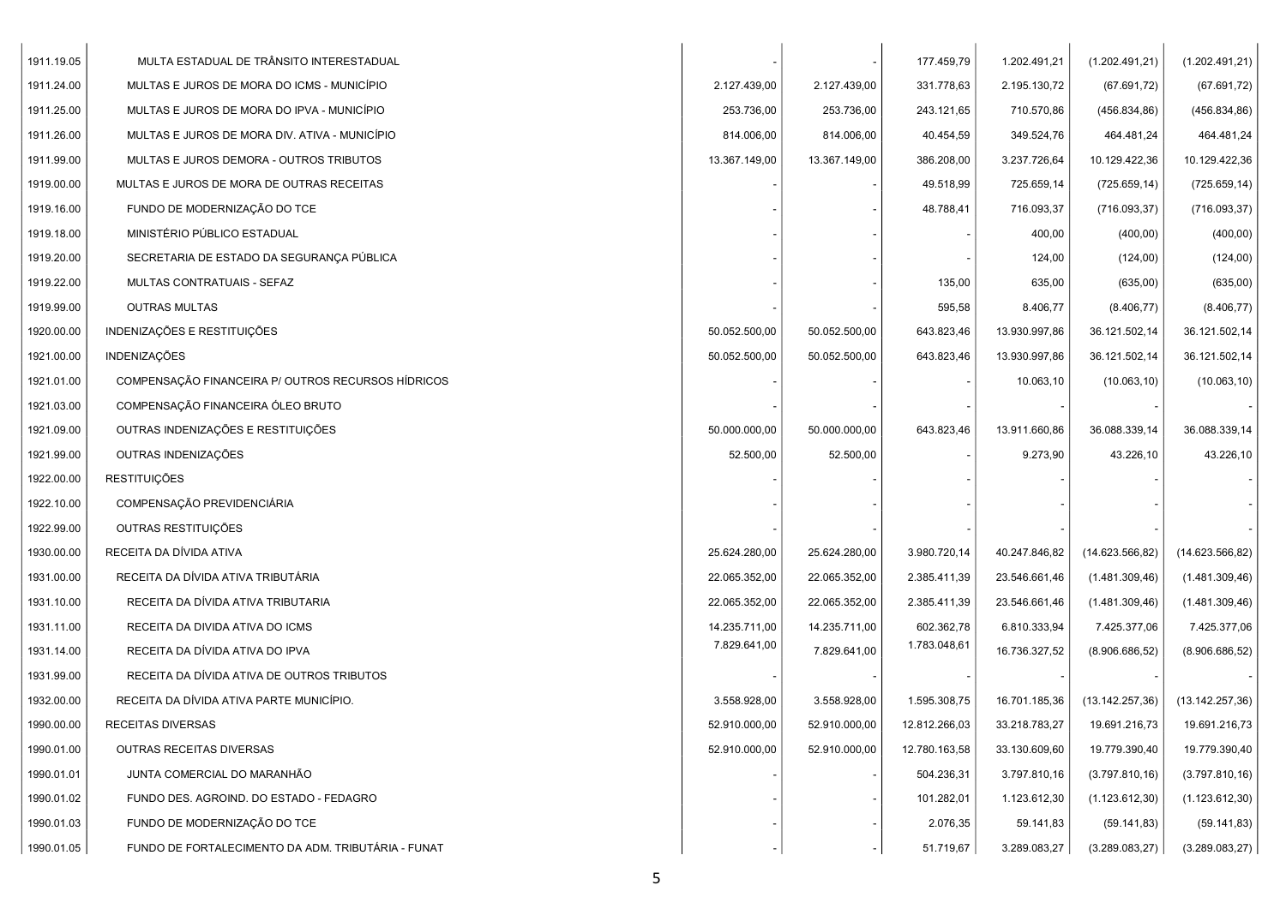| 1911.19.05 | MULTA ESTADUAL DE TRÂNSITO INTERESTADUAL           |               |               | 177.459,79    | 1.202.491,21  | (1.202.491, 21)  | (1.202.491, 21)  |
|------------|----------------------------------------------------|---------------|---------------|---------------|---------------|------------------|------------------|
| 1911.24.00 | MULTAS E JUROS DE MORA DO ICMS - MUNICÍPIO         | 2.127.439,00  | 2.127.439,00  | 331.778,63    | 2.195.130,72  | (67.691, 72)     | (67.691, 72)     |
| 1911.25.00 | MULTAS E JUROS DE MORA DO IPVA - MUNICÍPIO         | 253.736.00    | 253.736,00    | 243.121,65    | 710.570,86    | (456.834, 86)    | (456.834, 86)    |
| 1911.26.00 | MULTAS E JUROS DE MORA DIV. ATIVA - MUNICÍPIO      | 814.006,00    | 814.006,00    | 40.454,59     | 349.524,76    | 464.481,24       | 464.481,24       |
| 1911.99.00 | MULTAS E JUROS DEMORA - OUTROS TRIBUTOS            | 13.367.149,00 | 13.367.149,00 | 386.208,00    | 3.237.726,64  | 10.129.422,36    | 10.129.422,36    |
| 1919.00.00 | MULTAS E JUROS DE MORA DE OUTRAS RECEITAS          |               |               | 49.518,99     | 725.659,14    | (725.659, 14)    | (725.659, 14)    |
| 1919.16.00 | FUNDO DE MODERNIZAÇÃO DO TCE                       |               |               | 48.788,41     | 716.093,37    | (716.093.37)     | (716.093, 37)    |
| 1919.18.00 | MINISTÉRIO PÚBLICO ESTADUAL                        |               |               |               | 400,00        | (400,00)         | (400,00)         |
| 1919.20.00 | SECRETARIA DE ESTADO DA SEGURANÇA PÚBLICA          |               |               |               | 124,00        | (124,00)         | (124,00)         |
| 1919.22.00 | MULTAS CONTRATUAIS - SEFAZ                         |               |               | 135,00        | 635,00        | (635,00)         | (635,00)         |
| 1919.99.00 | <b>OUTRAS MULTAS</b>                               |               |               | 595,58        | 8.406,77      | (8.406, 77)      | (8.406, 77)      |
| 1920.00.00 | INDENIZAÇÕES E RESTITUIÇÕES                        | 50.052.500,00 | 50.052.500,00 | 643.823,46    | 13.930.997,86 | 36.121.502,14    | 36.121.502,14    |
| 1921.00.00 | <b>INDENIZAÇÕES</b>                                | 50.052.500,00 | 50.052.500,00 | 643.823,46    | 13.930.997,86 | 36.121.502,14    | 36.121.502,14    |
| 1921.01.00 | COMPENSAÇÃO FINANCEIRA P/ OUTROS RECURSOS HÍDRICOS |               |               |               | 10.063,10     | (10.063, 10)     | (10.063, 10)     |
| 1921.03.00 | COMPENSAÇÃO FINANCEIRA ÓLEO BRUTO                  |               |               |               |               |                  |                  |
| 1921.09.00 | OUTRAS INDENIZAÇÕES E RESTITUIÇÕES                 | 50.000.000,00 | 50.000.000,00 | 643.823,46    | 13.911.660,86 | 36.088.339,14    | 36.088.339,14    |
| 1921.99.00 | OUTRAS INDENIZAÇÕES                                | 52.500,00     | 52.500,00     |               | 9.273,90      | 43.226.10        | 43.226,10        |
| 1922.00.00 | <b>RESTITUIÇÕES</b>                                |               |               |               |               |                  |                  |
| 1922.10.00 | COMPENSAÇÃO PREVIDENCIÁRIA                         |               |               |               |               |                  |                  |
| 1922.99.00 | OUTRAS RESTITUIÇÕES                                |               |               |               |               |                  |                  |
| 1930.00.00 | RECEITA DA DÍVIDA ATIVA                            | 25.624.280,00 | 25.624.280,00 | 3.980.720,14  | 40.247.846,82 | (14.623.566, 82) | (14.623.566, 82) |
| 1931.00.00 | RECEITA DA DÍVIDA ATIVA TRIBUTÁRIA                 | 22.065.352,00 | 22.065.352,00 | 2.385.411,39  | 23.546.661,46 | (1.481.309,46)   | (1.481.309,46)   |
| 1931.10.00 | RECEITA DA DÍVIDA ATIVA TRIBUTARIA                 | 22.065.352,00 | 22.065.352,00 | 2.385.411,39  | 23.546.661,46 | (1.481.309,46)   | (1.481.309,46)   |
| 1931.11.00 | RECEITA DA DIVIDA ATIVA DO ICMS                    | 14.235.711,00 | 14.235.711,00 | 602.362,78    | 6.810.333,94  | 7.425.377,06     | 7.425.377,06     |
| 1931.14.00 | RECEITA DA DÍVIDA ATIVA DO IPVA                    | 7.829.641,00  | 7.829.641,00  | 1.783.048,61  | 16.736.327,52 | (8.906.686, 52)  | (8.906.686, 52)  |
| 1931.99.00 | RECEITA DA DÍVIDA ATIVA DE OUTROS TRIBUTOS         |               |               |               |               |                  |                  |
| 1932.00.00 | RECEITA DA DÍVIDA ATIVA PARTE MUNICÍPIO.           | 3.558.928,00  | 3.558.928,00  | 1.595.308,75  | 16.701.185,36 | (13.142.257,36)  | (13.142.257,36)  |
| 1990.00.00 | <b>RECEITAS DIVERSAS</b>                           | 52.910.000,00 | 52.910.000,00 | 12.812.266,03 | 33.218.783,27 | 19.691.216,73    | 19.691.216,73    |
| 1990.01.00 | OUTRAS RECEITAS DIVERSAS                           | 52.910.000,00 | 52.910.000,00 | 12.780.163,58 | 33.130.609,60 | 19.779.390,40    | 19.779.390,40    |
| 1990.01.01 | JUNTA COMERCIAL DO MARANHÃO                        |               |               | 504.236,31    | 3.797.810,16  | (3.797.810, 16)  | (3.797.810, 16)  |
| 1990.01.02 | FUNDO DES. AGROIND. DO ESTADO - FEDAGRO            |               |               | 101.282,01    | 1.123.612,30  | (1.123.612,30)   | (1.123.612,30)   |
| 1990.01.03 | FUNDO DE MODERNIZAÇÃO DO TCE                       |               |               | 2.076,35      | 59.141,83     | (59.141, 83)     | (59.141, 83)     |
| 1990.01.05 | FUNDO DE FORTALECIMENTO DA ADM. TRIBUTÁRIA - FUNAT |               |               | 51.719,67     | 3.289.083,27  | (3.289.083, 27)  | (3.289.083, 27)  |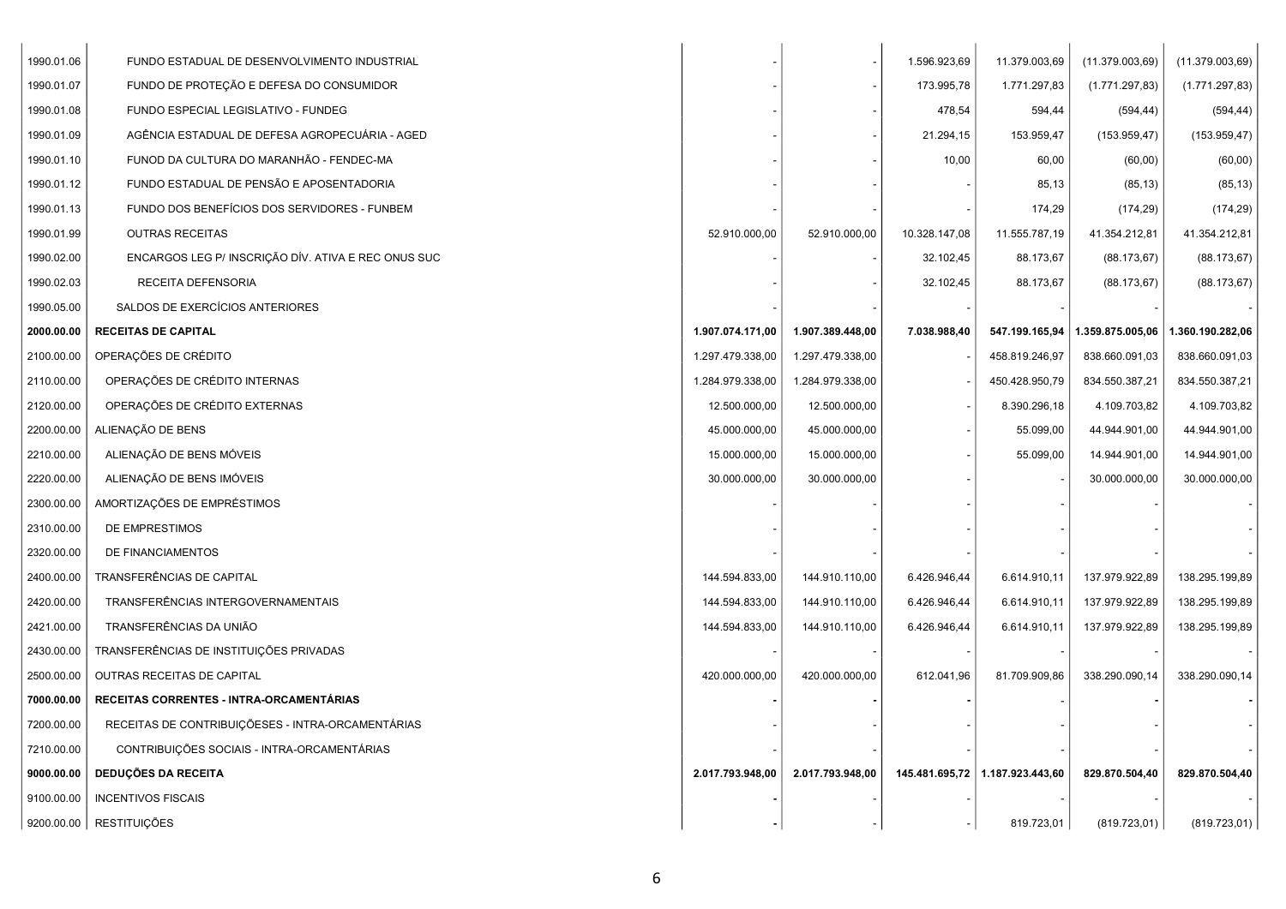| 1990.01.06 | FUNDO ESTADUAL DE DESENVOLVIMENTO INDUSTRIAL        |                  |                  | 1.596.923,69  | 11.379.003,69                   | (11.379.003,69)  | (11.379.003,69)  |
|------------|-----------------------------------------------------|------------------|------------------|---------------|---------------------------------|------------------|------------------|
| 1990.01.07 | FUNDO DE PROTEÇÃO E DEFESA DO CONSUMIDOR            |                  |                  | 173.995,78    | 1.771.297,83                    | (1.771.297, 83)  | (1.771.297, 83)  |
| 1990.01.08 | FUNDO ESPECIAL LEGISLATIVO - FUNDEG                 |                  |                  | 478,54        | 594,44                          | (594, 44)        | (594, 44)        |
| 1990.01.09 | AGÊNCIA ESTADUAL DE DEFESA AGROPECUÁRIA - AGED      |                  |                  | 21.294,15     | 153.959,47                      | (153.959, 47)    | (153.959, 47)    |
| 1990.01.10 | FUNOD DA CULTURA DO MARANHÃO - FENDEC-MA            |                  |                  | 10,00         | 60,00                           | (60,00)          | (60, 00)         |
| 1990.01.12 | FUNDO ESTADUAL DE PENSÃO E APOSENTADORIA            |                  |                  |               | 85,13                           | (85, 13)         | (85, 13)         |
| 1990.01.13 | FUNDO DOS BENEFÍCIOS DOS SERVIDORES - FUNBEM        |                  |                  |               | 174,29                          | (174, 29)        | (174, 29)        |
| 1990.01.99 | <b>OUTRAS RECEITAS</b>                              | 52.910.000,00    | 52.910.000,00    | 10.328.147,08 | 11.555.787,19                   | 41.354.212,81    | 41.354.212,81    |
| 1990.02.00 | ENCARGOS LEG P/ INSCRIÇÃO DÍV. ATIVA E REC ONUS SUC |                  |                  | 32.102,45     | 88.173,67                       | (88.173, 67)     | (88.173, 67)     |
| 1990.02.03 | RECEITA DEFENSORIA                                  |                  |                  | 32.102,45     | 88.173,67                       | (88.173, 67)     | (88.173, 67)     |
| 1990.05.00 | SALDOS DE EXERCÍCIOS ANTERIORES                     |                  |                  |               |                                 |                  |                  |
| 2000.00.00 | <b>RECEITAS DE CAPITAL</b>                          | 1.907.074.171,00 | 1.907.389.448,00 | 7.038.988,40  | 547.199.165,94                  | 1.359.875.005,06 | 1.360.190.282,06 |
| 2100.00.00 | OPERAÇÕES DE CRÉDITO                                | 1.297.479.338,00 | 1.297.479.338,00 |               | 458.819.246,97                  | 838.660.091,03   | 838.660.091,03   |
| 2110.00.00 | OPERAÇÕES DE CRÉDITO INTERNAS                       | 1.284.979.338,00 | 1.284.979.338,00 |               | 450.428.950,79                  | 834.550.387,21   | 834.550.387,21   |
| 2120.00.00 | OPERAÇÕES DE CRÉDITO EXTERNAS                       | 12.500.000,00    | 12.500.000,00    |               | 8.390.296,18                    | 4.109.703,82     | 4.109.703,82     |
| 2200.00.00 | ALIENAÇÃO DE BENS                                   | 45.000.000,00    | 45.000.000,00    |               | 55.099,00                       | 44.944.901,00    | 44.944.901,00    |
| 2210.00.00 | ALIENAÇÃO DE BENS MÓVEIS                            | 15.000.000,00    | 15.000.000,00    |               | 55.099,00                       | 14.944.901,00    | 14.944.901,00    |
| 2220.00.00 | ALIENAÇÃO DE BENS IMÓVEIS                           | 30.000.000,00    | 30.000.000,00    |               |                                 | 30.000.000,00    | 30.000.000,00    |
| 2300.00.00 | AMORTIZAÇÕES DE EMPRÉSTIMOS                         |                  |                  |               |                                 |                  |                  |
| 2310.00.00 | DE EMPRESTIMOS                                      |                  |                  |               |                                 |                  |                  |
| 2320.00.00 | DE FINANCIAMENTOS                                   |                  |                  |               |                                 |                  |                  |
| 2400.00.00 | TRANSFERÊNCIAS DE CAPITAL                           | 144.594.833,00   | 144.910.110,00   | 6.426.946,44  | 6.614.910,11                    | 137.979.922,89   | 138.295.199,89   |
| 2420.00.00 | TRANSFERÊNCIAS INTERGOVERNAMENTAIS                  | 144.594.833,00   | 144.910.110,00   | 6.426.946,44  | 6.614.910,11                    | 137.979.922,89   | 138.295.199,89   |
| 2421.00.00 | TRANSFERÊNCIAS DA UNIÃO                             | 144.594.833,00   | 144.910.110,00   | 6.426.946,44  | 6.614.910,11                    | 137.979.922,89   | 138.295.199,89   |
| 2430.00.00 | TRANSFERÊNCIAS DE INSTITUIÇÕES PRIVADAS             |                  |                  |               |                                 |                  |                  |
| 2500.00.00 | OUTRAS RECEITAS DE CAPITAL                          | 420.000.000,00   | 420.000.000,00   | 612.041,96    | 81.709.909,86                   | 338.290.090,14   | 338.290.090,14   |
| 7000.00.00 | RECEITAS CORRENTES - INTRA-ORCAMENTÁRIAS            |                  |                  |               |                                 |                  |                  |
| 7200.00.00 | RECEITAS DE CONTRIBUIÇÕESES - INTRA-ORCAMENTÁRIAS   |                  |                  |               |                                 |                  |                  |
| 7210.00.00 | CONTRIBUIÇÕES SOCIAIS - INTRA-ORCAMENTÁRIAS         |                  |                  |               |                                 |                  |                  |
| 9000.00.00 | <b>DEDUÇÕES DA RECEITA</b>                          | 2.017.793.948,00 | 2.017.793.948,00 |               | 145.481.695,72 1.187.923.443,60 | 829.870.504,40   | 829.870.504,40   |
| 9100.00.00 | <b>INCENTIVOS FISCAIS</b>                           |                  |                  |               |                                 |                  |                  |
|            | 9200.00.00   RESTITUIÇÕES                           |                  |                  |               | 819.723,01                      | (819.723, 01)    | (819.723, 01)    |